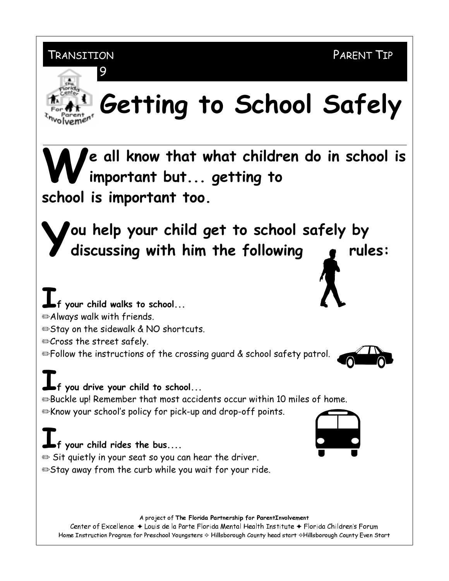TRANSITION

## Getting to School Safely

e all know that what children do in school is important but... getting to school is important too.

ou help your child get to school safely by discussing with him the following rules:

f your child walks to school... Always walk with friends. **Stay on the sidewalk & NO shortcuts.** <sup>o</sup> Cross the street safely. **Sollow the instructions of the crossing guard & school safety patrol.** 

## f you drive your child to school...

**Buckle up! Remember that most accidents occur within 10 miles of home.** ⊕Know your school's policy for pick-up and drop-off points.

## $\blacksquare$  f your child rides the bus....

 $\mathfrak{S}$  Sit quietly in your seat so you can hear the driver. ⊕Stay away from the curb while you wait for your ride.

A project of The Florida Partnership for ParentInvolvement

Center of Excellence ◆ Louis de la Parte Florida Mental Health Institute ◆ Florida Children's Forum Home Instruction Program for Preschool Youngsters  $\diamond$  Hillsborough County head start  $\diamond$ Hillsborough County Even Start



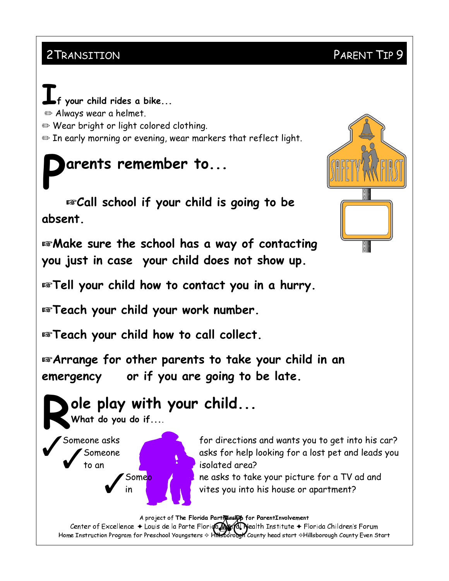### 2 TRANSITION PARENT TIP 9

your child rides a bike...  $\Rightarrow$  Always wear a helmet.  $\Rightarrow$  Wear bright or light colored clothing.  $\Rightarrow$  In early morning or evening, wear markers that reflect light.

## arents remember to...

 $\mathbb{R}$  Call school if your child is going to be dbsent

**EXP Make sure the school has a way of contacting** you just in case your child does not show up.

For Tell your child how to contact you in a hurry.

 $\mathbb{F}$ Teach your child your work number.

**Extrach your child how to call collect.** 

 $\mathbb{R}$ Arrange for other parents to take your child in an emergency or if you are going to be late.

# Ole play with your child...<br>What do you do if....<br>Someone asks for directions

For directions and wants you to get into his car?<br>Someone asks for help looking for a lost pet and leads you<br>to an isolated area? isolated area?

Some<mark>o and the disks to take your picture for a TV ad and the RM D 70 of the asks to take your picture for a TV ad and</mark>

A project of The Florida Parthership for ParentInvolvement

Center of Excellence  $\bullet$  Louis de la Parte Florida  $\mathbf{A}$  . Nealth Institute  $\bullet$  Florida Children's Forum Home Instruction Program for Preschool Youngsters  $\diamond$  Hillsporough County head start  $\diamond$ Hillsborough County Even Start

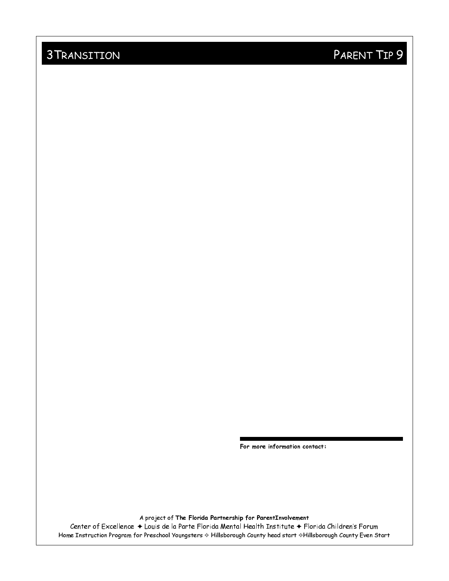### 3 TRANSITION PARENT TIP 9

For more information contact:

A project of The Florida Partnership for ParentInvolvement

Center of Excellence ◆ Louis de la Parte Florida Mental Health Institute ◆ Florida Children's Forum Home Instruction Program for Preschool Youngsters  $\diamond$  Hillsborough County head start  $\diamond$ Hillsborough County Even Start